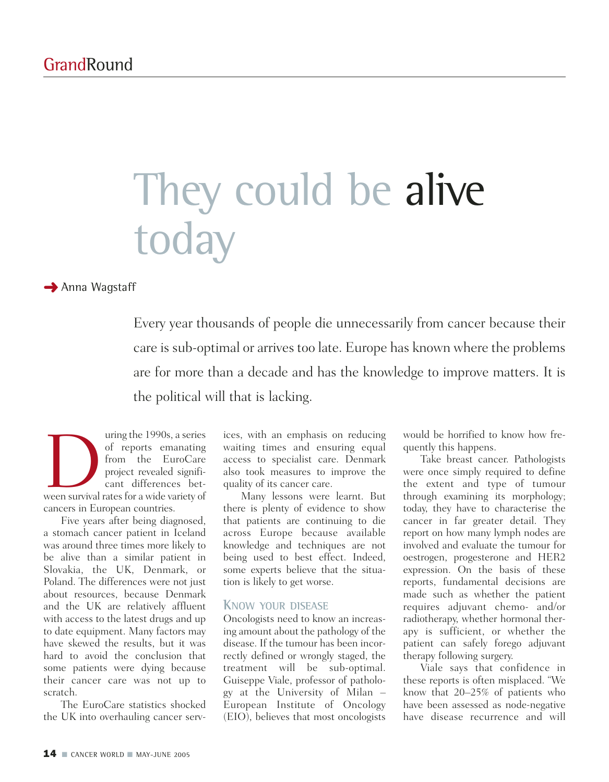# They could be alive today

**→ Anna Wagstaff** 

Every year thousands of people die unnecessarily from cancer because their care is sub-optimal or arrives too late. Europe has known where the problems are for more than a decade and has the knowledge to improve matters. It is the political will that is lacking.

uring the 1990s, a series<br>
of reports emanating<br>
from the EuroCare<br>
project revealed signifi-<br>
cant differences bet-<br>
ween survival rates for a wide variety of of reports emanating from the EuroCare project revealed significant differences betcancers in European countries.

Five years after being diagnosed, a stomach cancer patient in Iceland was around three times more likely to be alive than a similar patient in Slovakia, the UK, Denmark, or Poland. The differences were not just about resources, because Denmark and the UK are relatively affluent with access to the latest drugs and up to date equipment. Many factors may have skewed the results, but it was hard to avoid the conclusion that some patients were dying because their cancer care was not up to scratch.

The EuroCare statistics shocked the UK into overhauling cancer serv-

ices, with an emphasis on reducing waiting times and ensuring equal access to specialist care. Denmark also took measures to improve the quality of its cancer care.

Many lessons were learnt. But there is plenty of evidence to show that patients are continuing to die across Europe because available knowledge and techniques are not being used to best effect. Indeed, some experts believe that the situation is likely to get worse.

#### **KNOW YOUR DISEASE**

Oncologists need to know an increasing amount about the pathology of the disease. If the tumour has been incorrectly defined or wrongly staged, the treatment will be sub-optimal. Guiseppe Viale, professor of pathology at the University of Milan – European Institute of Oncology (EIO), believes that most oncologists

would be horrified to know how frequently this happens.

Take breast cancer. Pathologists were once simply required to define the extent and type of tumour through examining its morphology; today, they have to characterise the cancer in far greater detail. They report on how many lymph nodes are involved and evaluate the tumour for oestrogen, progesterone and HER2 expression. On the basis of these reports, fundamental decisions are made such as whether the patient requires adjuvant chemo- and/or radiotherapy, whether hormonal therapy is sufficient, or whether the patient can safely forego adjuvant therapy following surgery.

Viale says that confidence in these reports is often misplaced. "We know that 20–25% of patients who have been assessed as node-negative have disease recurrence and will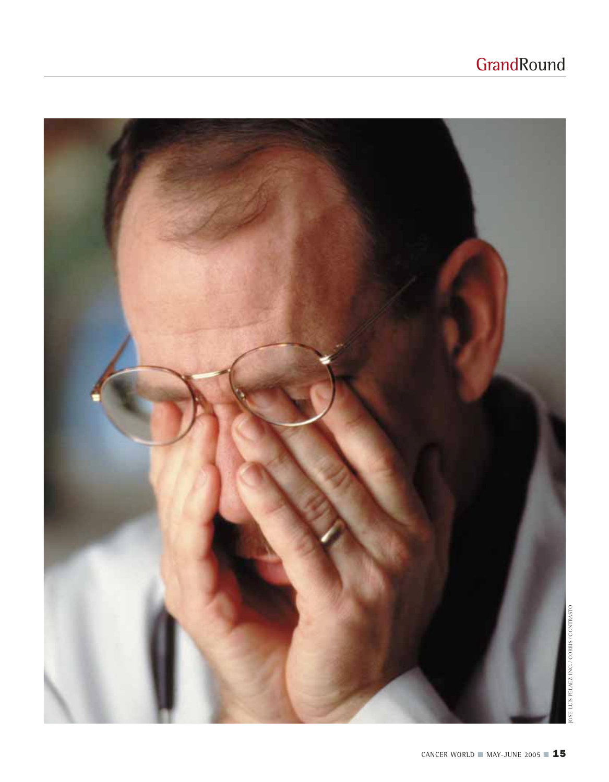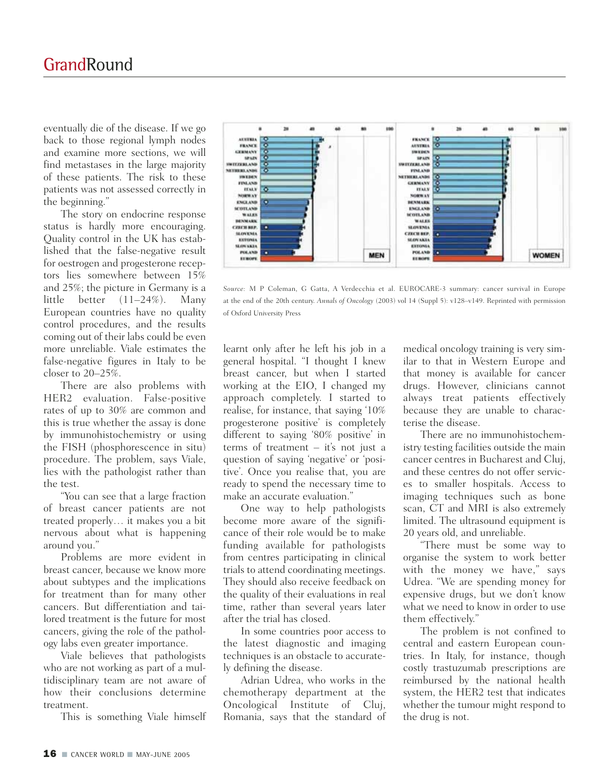eventually die of the disease. If we go back to those regional lymph nodes and examine more sections, we will find metastases in the large majority of these patients. The risk to these patients was not assessed correctly in the beginning."

The story on endocrine response status is hardly more encouraging. Quality control in the UK has established that the false-negative result for oestrogen and progesterone receptors lies somewhere between 15% and 25%; the picture in Germany is a little better (11–24%). Many European countries have no quality control procedures, and the results coming out of their labs could be even more unreliable. Viale estimates the false-negative figures in Italy to be closer to 20–25%.

There are also problems with HER2 evaluation. False-positive rates of up to 30% are common and this is true whether the assay is done by immunohistochemistry or using the FISH (phosphorescence in situ) procedure. The problem, says Viale, lies with the pathologist rather than the test.

"You can see that a large fraction of breast cancer patients are not treated properly… it makes you a bit nervous about what is happening around you."

Problems are more evident in breast cancer, because we know more about subtypes and the implications for treatment than for many other cancers. But differentiation and tailored treatment is the future for most cancers, giving the role of the pathology labs even greater importance.

Viale believes that pathologists who are not working as part of a multidisciplinary team are not aware of how their conclusions determine treatment.

This is something Viale himself



*Source:* M P Coleman, G Gatta, A Verdecchia et al. EUROCARE-3 summary: cancer survival in Europe at the end of the 20th century. *Annals of Oncology* (2003) vol 14 (Suppl 5): v128–v149. Reprinted with permission of Oxford University Press

learnt only after he left his job in a general hospital. "I thought I knew breast cancer, but when I started working at the EIO, I changed my approach completely. I started to realise, for instance, that saying '10% progesterone positive' is completely different to saying '80% positive' in terms of treatment – it's not just a question of saying 'negative' or 'positive'. Once you realise that, you are ready to spend the necessary time to make an accurate evaluation."

One way to help pathologists become more aware of the significance of their role would be to make funding available for pathologists from centres participating in clinical trials to attend coordinating meetings. They should also receive feedback on the quality of their evaluations in real time, rather than several years later after the trial has closed.

In some countries poor access to the latest diagnostic and imaging techniques is an obstacle to accurately defining the disease.

Adrian Udrea, who works in the chemotherapy department at the Oncological Institute of Cluj, Romania, says that the standard of

medical oncology training is very similar to that in Western Europe and that money is available for cancer drugs. However, clinicians cannot always treat patients effectively because they are unable to characterise the disease.

There are no immunohistochemistry testing facilities outside the main cancer centres in Bucharest and Cluj, and these centres do not offer services to smaller hospitals. Access to imaging techniques such as bone scan, CT and MRI is also extremely limited. The ultrasound equipment is 20 years old, and unreliable.

"There must be some way to organise the system to work better with the money we have," says Udrea. "We are spending money for expensive drugs, but we don't know what we need to know in order to use them effectively."

The problem is not confined to central and eastern European countries. In Italy, for instance, though costly trastuzumab prescriptions are reimbursed by the national health system, the HER2 test that indicates whether the tumour might respond to the drug is not.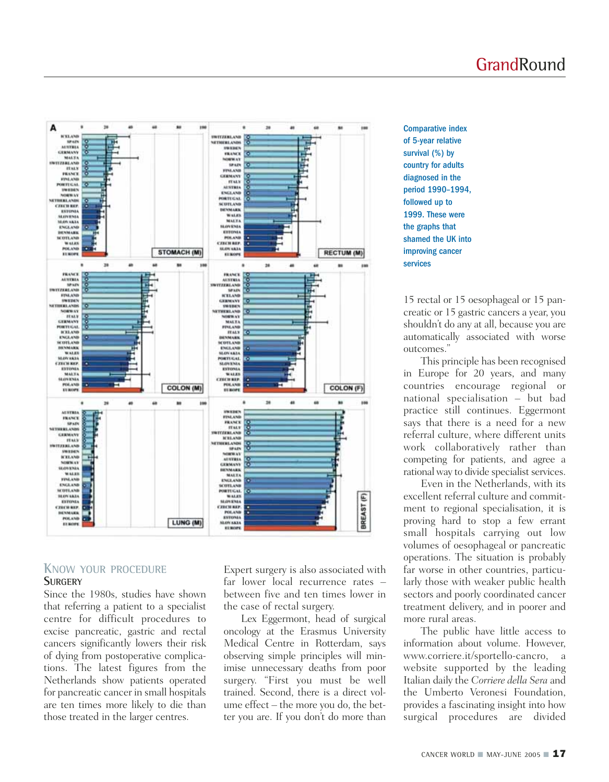

#### **KNOW YOUR PROCEDURE SURGERY**

Since the 1980s, studies have shown that referring a patient to a specialist centre for difficult procedures to excise pancreatic, gastric and rectal cancers significantly lowers their risk of dying from postoperative complications. The latest figures from the Netherlands show patients operated for pancreatic cancer in small hospitals are ten times more likely to die than those treated in the larger centres.

Expert surgery is also associated with far lower local recurrence rates – between five and ten times lower in the case of rectal surgery.

Lex Eggermont, head of surgical oncology at the Erasmus University Medical Centre in Rotterdam, says observing simple principles will minimise unnecessary deaths from poor surgery. "First you must be well trained. Second, there is a direct volume effect – the more you do, the better you are. If you don't do more than

Comparative index of 5-year relative survival (%) by country for adults diagnosed in the period 1990–1994, followed up to 1999. These were the graphs that shamed the UK into improving cancer services

15 rectal or 15 oesophageal or 15 pancreatic or 15 gastric cancers a year, you shouldn't do any at all, because you are automatically associated with worse outcomes."

This principle has been recognised in Europe for 20 years, and many countries encourage regional or national specialisation – but bad practice still continues. Eggermont says that there is a need for a new referral culture, where different units work collaboratively rather than competing for patients, and agree a rational way to divide specialist services.

Even in the Netherlands, with its excellent referral culture and commitment to regional specialisation, it is proving hard to stop a few errant small hospitals carrying out low volumes of oesophageal or pancreatic operations. The situation is probably far worse in other countries, particularly those with weaker public health sectors and poorly coordinated cancer treatment delivery, and in poorer and more rural areas.

The public have little access to information about volume. However, www.corriere.it/sportello-cancro, a website supported by the leading Italian daily the *Corriere della Sera* and the Umberto Veronesi Foundation, provides a fascinating insight into how surgical procedures are divided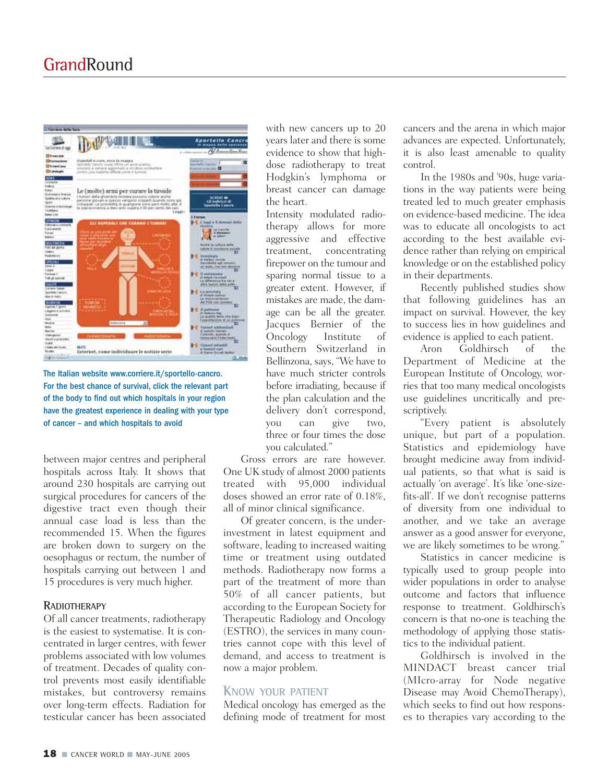

The Italian website www.corriere.it/sportello-cancro. For the best chance of survival, click the relevant part of the body to find out which hospitals in your region have the greatest experience in dealing with your type of cancer – and which hospitals to avoid

between major centres and peripheral hospitals across Italy. It shows that around 230 hospitals are carrying out surgical procedures for cancers of the digestive tract even though their annual case load is less than the recommended 15. When the figures are broken down to surgery on the oesophagus or rectum, the number of hospitals carrying out between 1 and 15 procedures is very much higher.

#### **RADIOTHERAPY**

Of all cancer treatments, radiotherapy is the easiest to systematise. It is concentrated in larger centres, with fewer problems associated with low volumes of treatment. Decades of quality control prevents most easily identifiable mistakes, but controversy remains over long-term effects. Radiation for testicular cancer has been associated

with new cancers up to 20 years later and there is some evidence to show that highdose radiotherapy to treat Hodgkin's lymphoma or breast cancer can damage the heart.

Intensity modulated radiotherapy allows for more aggressive and effective treatment, concentrating firepower on the tumour and sparing normal tissue to a greater extent. However, if mistakes are made, the damage can be all the greater. Jacques Bernier of the Oncology Institute of Southern Switzerland in Bellinzona, says, "We have to have much stricter controls before irradiating, because if the plan calculation and the delivery don't correspond, you can give two, three or four times the dose you calculated."

Gross errors are rare however. One UK study of almost 2000 patients treated with 95,000 individual doses showed an error rate of 0.18%, all of minor clinical significance.

Of greater concern, is the underinvestment in latest equipment and software, leading to increased waiting time or treatment using outdated methods. Radiotherapy now forms a part of the treatment of more than 50% of all cancer patients, but according to the European Society for Therapeutic Radiology and Oncology (ESTRO), the services in many countries cannot cope with this level of demand, and access to treatment is now a major problem.

#### **KNOW YOUR PATIENT**

Medical oncology has emerged as the defining mode of treatment for most

cancers and the arena in which major advances are expected. Unfortunately, it is also least amenable to quality control.

In the 1980s and '90s, huge variations in the way patients were being treated led to much greater emphasis on evidence-based medicine. The idea was to educate all oncologists to act according to the best available evidence rather than relying on empirical knowledge or on the established policy in their departments.

Recently published studies show that following guidelines has an impact on survival. However, the key to success lies in how guidelines and evidence is applied to each patient.

Aron Goldhirsch of the Department of Medicine at the European Institute of Oncology, worries that too many medical oncologists use guidelines uncritically and prescriptively.

"Every patient is absolutely unique, but part of a population. Statistics and epidemiology have brought medicine away from individual patients, so that what is said is actually 'on average'. It's like 'one-sizefits-all'. If we don't recognise patterns of diversity from one individual to another, and we take an average answer as a good answer for everyone, we are likely sometimes to be wrong."

Statistics in cancer medicine is typically used to group people into wider populations in order to analyse outcome and factors that influence response to treatment. Goldhirsch's concern is that no-one is teaching the methodology of applying those statistics to the individual patient.

Goldhirsch is involved in the MINDACT breast cancer trial (MIcro-array for Node negative Disease may Avoid ChemoTherapy), which seeks to find out how responses to therapies vary according to the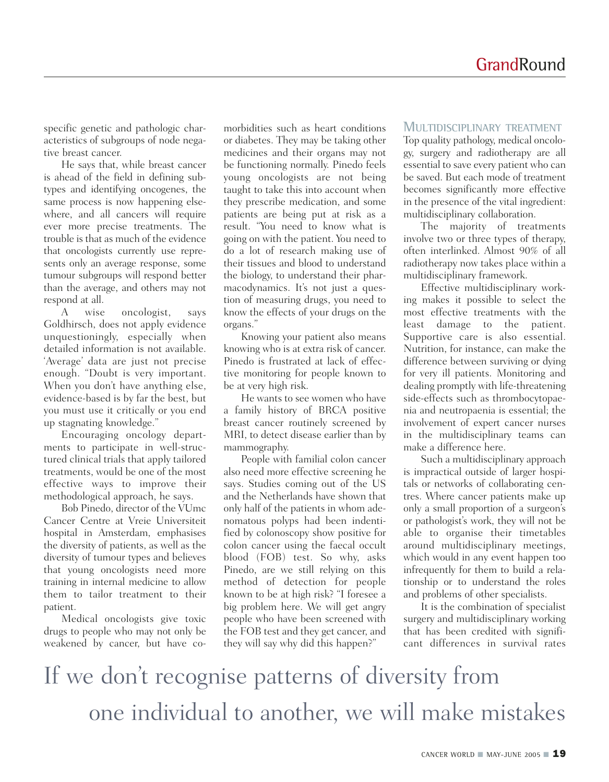specific genetic and pathologic characteristics of subgroups of node negative breast cancer.

He says that, while breast cancer is ahead of the field in defining subtypes and identifying oncogenes, the same process is now happening elsewhere, and all cancers will require ever more precise treatments. The trouble is that as much of the evidence that oncologists currently use represents only an average response, some tumour subgroups will respond better than the average, and others may not respond at all.

A wise oncologist, says Goldhirsch, does not apply evidence unquestioningly, especially when detailed information is not available. 'Average' data are just not precise enough. "Doubt is very important. When you don't have anything else, evidence-based is by far the best, but you must use it critically or you end up stagnating knowledge."

Encouraging oncology departments to participate in well-structured clinical trials that apply tailored treatments, would be one of the most effective ways to improve their methodological approach, he says.

Bob Pinedo, director of the VUmc Cancer Centre at Vreie Universiteit hospital in Amsterdam, emphasises the diversity of patients, as well as the diversity of tumour types and believes that young oncologists need more training in internal medicine to allow them to tailor treatment to their patient.

Medical oncologists give toxic drugs to people who may not only be weakened by cancer, but have comorbidities such as heart conditions or diabetes. They may be taking other medicines and their organs may not be functioning normally. Pinedo feels young oncologists are not being taught to take this into account when they prescribe medication, and some patients are being put at risk as a result. "You need to know what is going on with the patient. You need to do a lot of research making use of their tissues and blood to understand the biology, to understand their pharmacodynamics. It's not just a question of measuring drugs, you need to know the effects of your drugs on the organs."

Knowing your patient also means knowing who is at extra risk of cancer. Pinedo is frustrated at lack of effective monitoring for people known to be at very high risk.

He wants to see women who have a family history of BRCA positive breast cancer routinely screened by MRI, to detect disease earlier than by mammography.

People with familial colon cancer also need more effective screening he says. Studies coming out of the US and the Netherlands have shown that only half of the patients in whom adenomatous polyps had been indentified by colonoscopy show positive for colon cancer using the faecal occult blood (FOB) test. So why, asks Pinedo, are we still relying on this method of detection for people known to be at high risk? "I foresee a big problem here. We will get angry people who have been screened with the FOB test and they get cancer, and they will say why did this happen?"

#### **MULTIDISCIPLINARY TREATMENT**

Top quality pathology, medical oncology, surgery and radiotherapy are all essential to save every patient who can be saved. But each mode of treatment becomes significantly more effective in the presence of the vital ingredient: multidisciplinary collaboration.

The majority of treatments involve two or three types of therapy, often interlinked. Almost 90% of all radiotherapy now takes place within a multidisciplinary framework.

Effective multidisciplinary working makes it possible to select the most effective treatments with the least damage to the patient. Supportive care is also essential. Nutrition, for instance, can make the difference between surviving or dying for very ill patients. Monitoring and dealing promptly with life-threatening side-effects such as thrombocytopaenia and neutropaenia is essential; the involvement of expert cancer nurses in the multidisciplinary teams can make a difference here.

Such a multidisciplinary approach is impractical outside of larger hospitals or networks of collaborating centres. Where cancer patients make up only a small proportion of a surgeon's or pathologist's work, they will not be able to organise their timetables around multidisciplinary meetings, which would in any event happen too infrequently for them to build a relationship or to understand the roles and problems of other specialists.

It is the combination of specialist surgery and multidisciplinary working that has been credited with significant differences in survival rates

If we don't recognise patterns of diversity from one individual to another, we will make mistakes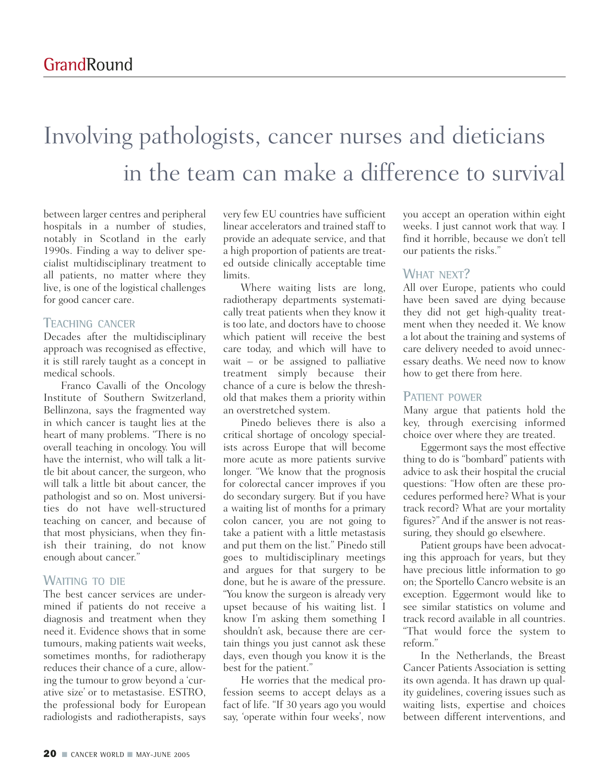### Involving pathologists, cancer nurses and dieticians in the team can make a difference to survival

between larger centres and peripheral hospitals in a number of studies, notably in Scotland in the early 1990s. Finding a way to deliver specialist multidisciplinary treatment to all patients, no matter where they live, is one of the logistical challenges for good cancer care.

#### **TEACHING CANCER**

Decades after the multidisciplinary approach was recognised as effective, it is still rarely taught as a concept in medical schools.

Franco Cavalli of the Oncology Institute of Southern Switzerland, Bellinzona, says the fragmented way in which cancer is taught lies at the heart of many problems. "There is no overall teaching in oncology. You will have the internist, who will talk a little bit about cancer, the surgeon, who will talk a little bit about cancer, the pathologist and so on. Most universities do not have well-structured teaching on cancer, and because of that most physicians, when they finish their training, do not know enough about cancer."

### **WAITING TO DIE**

The best cancer services are undermined if patients do not receive a diagnosis and treatment when they need it. Evidence shows that in some tumours, making patients wait weeks, sometimes months, for radiotherapy reduces their chance of a cure, allowing the tumour to grow beyond a 'curative size' or to metastasise. ESTRO, the professional body for European radiologists and radiotherapists, says

very few EU countries have sufficient linear accelerators and trained staff to provide an adequate service, and that a high proportion of patients are treated outside clinically acceptable time limits.

Where waiting lists are long, radiotherapy departments systematically treat patients when they know it is too late, and doctors have to choose which patient will receive the best care today, and which will have to wait – or be assigned to palliative treatment simply because their chance of a cure is below the threshold that makes them a priority within an overstretched system.

Pinedo believes there is also a critical shortage of oncology specialists across Europe that will become more acute as more patients survive longer. "We know that the prognosis for colorectal cancer improves if you do secondary surgery. But if you have a waiting list of months for a primary colon cancer, you are not going to take a patient with a little metastasis and put them on the list." Pinedo still goes to multidisciplinary meetings and argues for that surgery to be done, but he is aware of the pressure. "You know the surgeon is already very upset because of his waiting list. I know I'm asking them something I shouldn't ask, because there are certain things you just cannot ask these days, even though you know it is the best for the patient."

He worries that the medical profession seems to accept delays as a fact of life. "If 30 years ago you would say, 'operate within four weeks', now

you accept an operation within eight weeks. I just cannot work that way. I find it horrible, because we don't tell our patients the risks."

### **WHAT NEXT?**

All over Europe, patients who could have been saved are dying because they did not get high-quality treatment when they needed it. We know a lot about the training and systems of care delivery needed to avoid unnecessary deaths. We need now to know how to get there from here.

#### **PATIENT POWER**

Many argue that patients hold the key, through exercising informed choice over where they are treated.

Eggermont says the most effective thing to do is "bombard" patients with advice to ask their hospital the crucial questions: "How often are these procedures performed here? What is your track record? What are your mortality figures?" And if the answer is not reassuring, they should go elsewhere.

Patient groups have been advocating this approach for years, but they have precious little information to go on; the Sportello Cancro website is an exception. Eggermont would like to see similar statistics on volume and track record available in all countries. "That would force the system to reform."

In the Netherlands, the Breast Cancer Patients Association is setting its own agenda. It has drawn up quality guidelines, covering issues such as waiting lists, expertise and choices between different interventions, and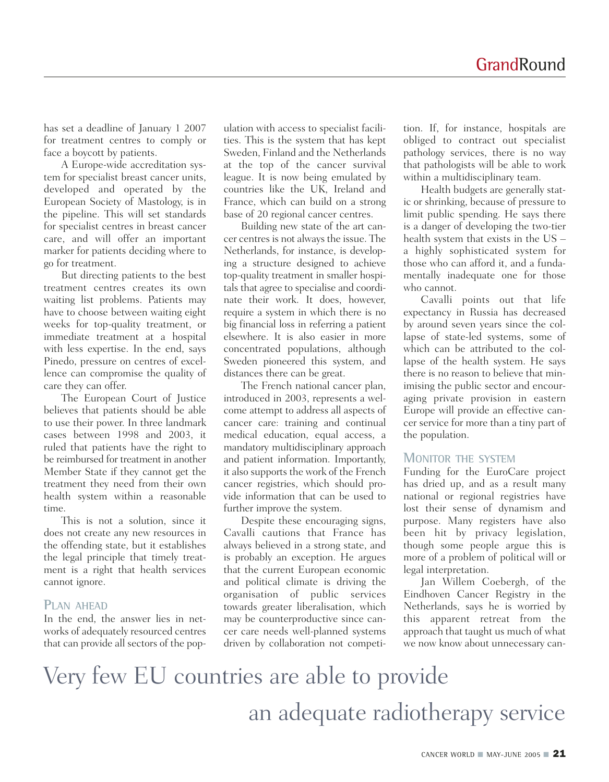has set a deadline of January 1 2007 for treatment centres to comply or face a boycott by patients.

A Europe-wide accreditation system for specialist breast cancer units, developed and operated by the European Society of Mastology, is in the pipeline. This will set standards for specialist centres in breast cancer care, and will offer an important marker for patients deciding where to go for treatment.

But directing patients to the best treatment centres creates its own waiting list problems. Patients may have to choose between waiting eight weeks for top-quality treatment, or immediate treatment at a hospital with less expertise. In the end, says Pinedo, pressure on centres of excellence can compromise the quality of care they can offer.

The European Court of Justice believes that patients should be able to use their power. In three landmark cases between 1998 and 2003, it ruled that patients have the right to be reimbursed for treatment in another Member State if they cannot get the treatment they need from their own health system within a reasonable time.

This is not a solution, since it does not create any new resources in the offending state, but it establishes the legal principle that timely treatment is a right that health services cannot ignore.

#### **PLAN AHEAD**

In the end, the answer lies in networks of adequately resourced centres that can provide all sectors of the population with access to specialist facilities. This is the system that has kept Sweden, Finland and the Netherlands at the top of the cancer survival league. It is now being emulated by countries like the UK, Ireland and France, which can build on a strong base of 20 regional cancer centres.

Building new state of the art cancer centres is not always the issue. The Netherlands, for instance, is developing a structure designed to achieve top-quality treatment in smaller hospitals that agree to specialise and coordinate their work. It does, however, require a system in which there is no big financial loss in referring a patient elsewhere. It is also easier in more concentrated populations, although Sweden pioneered this system, and distances there can be great.

The French national cancer plan, introduced in 2003, represents a welcome attempt to address all aspects of cancer care: training and continual medical education, equal access, a mandatory multidisciplinary approach and patient information. Importantly, it also supports the work of the French cancer registries, which should provide information that can be used to further improve the system.

Despite these encouraging signs, Cavalli cautions that France has always believed in a strong state, and is probably an exception. He argues that the current European economic and political climate is driving the organisation of public services towards greater liberalisation, which may be counterproductive since cancer care needs well-planned systems driven by collaboration not competi-

tion. If, for instance, hospitals are obliged to contract out specialist pathology services, there is no way that pathologists will be able to work within a multidisciplinary team.

Health budgets are generally static or shrinking, because of pressure to limit public spending. He says there is a danger of developing the two-tier health system that exists in the US – a highly sophisticated system for those who can afford it, and a fundamentally inadequate one for those who cannot.

Cavalli points out that life expectancy in Russia has decreased by around seven years since the collapse of state-led systems, some of which can be attributed to the collapse of the health system. He says there is no reason to believe that minimising the public sector and encouraging private provision in eastern Europe will provide an effective cancer service for more than a tiny part of the population.

#### **MONITOR THE SYSTEM**

Funding for the EuroCare project has dried up, and as a result many national or regional registries have lost their sense of dynamism and purpose. Many registers have also been hit by privacy legislation, though some people argue this is more of a problem of political will or legal interpretation.

Jan Willem Coebergh, of the Eindhoven Cancer Registry in the Netherlands, says he is worried by this apparent retreat from the approach that taught us much of what we now know about unnecessary can-

### Very few EU countries are able to provide an adequate radiotherapy service